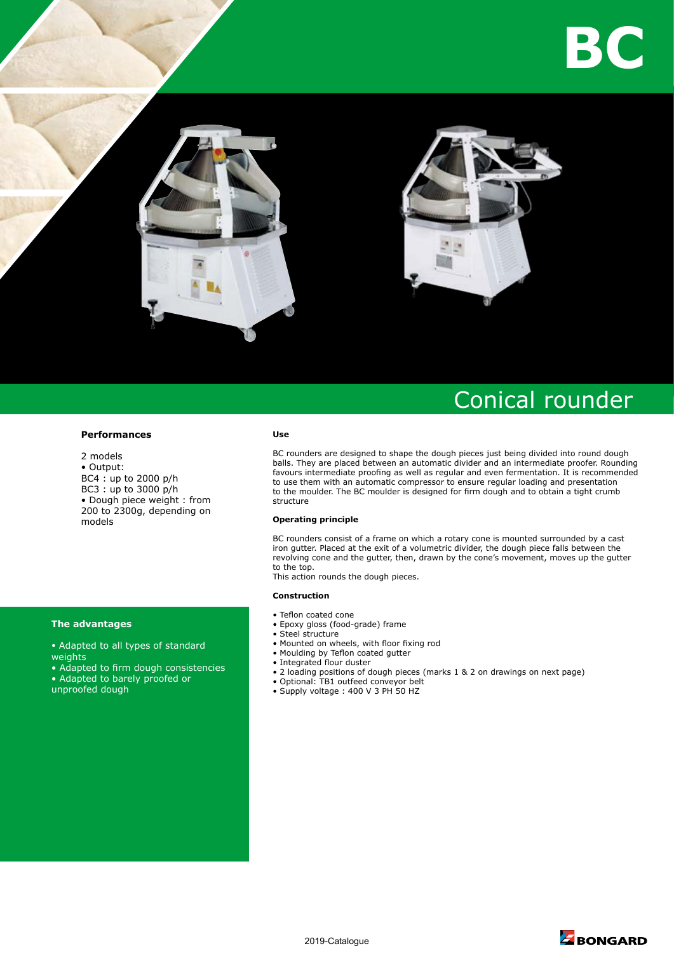



# Conical rounder

#### **Performances**

2 models • Output: BC4 : up to 2000 p/h BC3 : up to 3000 p/h • Dough piece weight : from 200 to 2300g, depending on models

### **The advantages**

- Adapted to all types of standard weights
- Adapted to firm dough consistencies
- Adapted to barely proofed or
- unproofed dough

#### **Use**

BC rounders are designed to shape the dough pieces just being divided into round dough balls. They are placed between an automatic divider and an intermediate proofer. Rounding favours intermediate proofing as well as regular and even fermentation. It is recommended to use them with an automatic compressor to ensure regular loading and presentation to the moulder. The BC moulder is designed for firm dough and to obtain a tight crumb structure

#### **Operating principle**

BC rounders consist of a frame on which a rotary cone is mounted surrounded by a cast iron gutter. Placed at the exit of a volumetric divider, the dough piece falls between the revolving cone and the gutter, then, drawn by the cone's movement, moves up the gutter to the top.

This action rounds the dough pieces.

#### **Construction**

- Teflon coated cone
- Epoxy gloss (food-grade) frame
- Steel structure
- Mounted on wheels, with floor fixing rod
- Moulding by Teflon coated gutter
- Integrated flour duster
- 2 loading positions of dough pieces (marks 1 & 2 on drawings on next page)
- Optional: TB1 outfeed conveyor belt
- Supply voltage : 400 V 3 PH 50 HZ